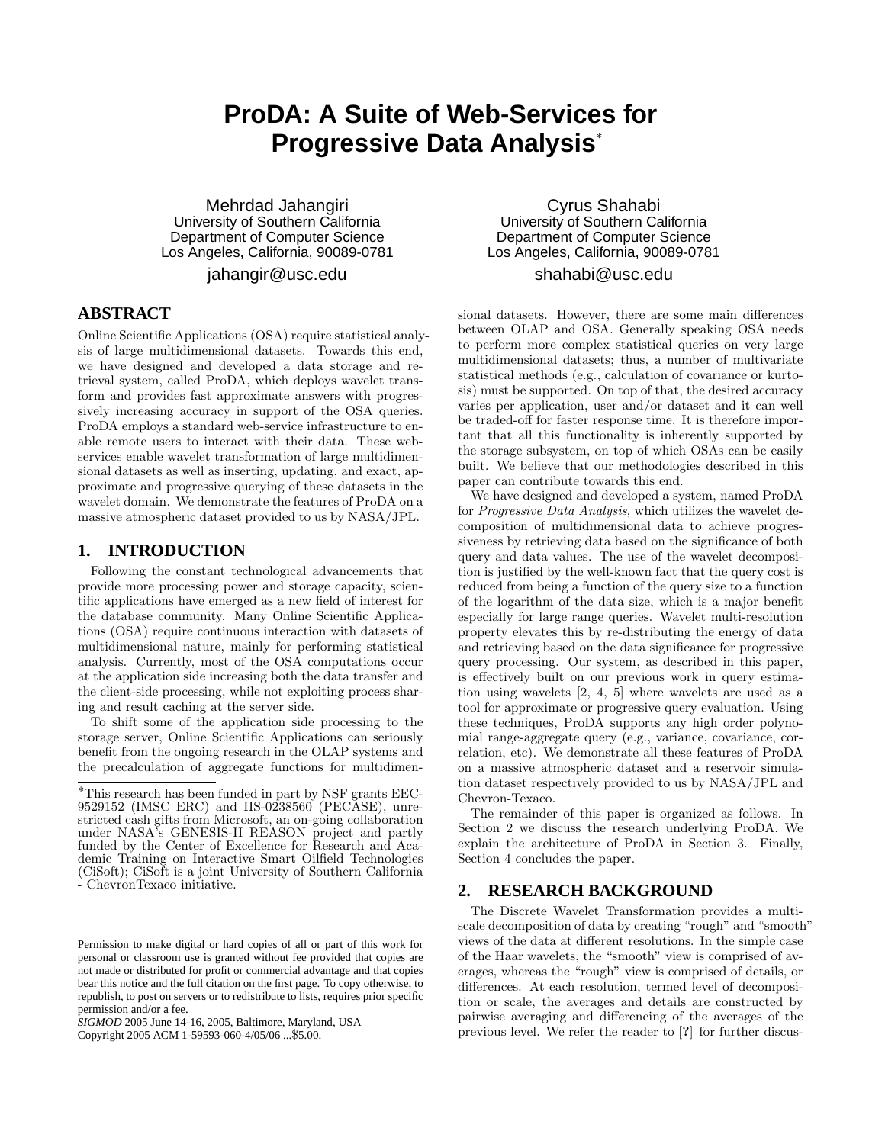# **ProDA: A Suite of Web-Services for Progressive Data Analysis**<sup>∗</sup>

Mehrdad Jahangiri University of Southern California Department of Computer Science Los Angeles, California, 90089-0781

jahangir@usc.edu

## **ABSTRACT**

Online Scientific Applications (OSA) require statistical analysis of large multidimensional datasets. Towards this end, we have designed and developed a data storage and retrieval system, called ProDA, which deploys wavelet transform and provides fast approximate answers with progressively increasing accuracy in support of the OSA queries. ProDA employs a standard web-service infrastructure to enable remote users to interact with their data. These webservices enable wavelet transformation of large multidimensional datasets as well as inserting, updating, and exact, approximate and progressive querying of these datasets in the wavelet domain. We demonstrate the features of ProDA on a massive atmospheric dataset provided to us by NASA/JPL.

### **1. INTRODUCTION**

Following the constant technological advancements that provide more processing power and storage capacity, scientific applications have emerged as a new field of interest for the database community. Many Online Scientific Applications (OSA) require continuous interaction with datasets of multidimensional nature, mainly for performing statistical analysis. Currently, most of the OSA computations occur at the application side increasing both the data transfer and the client-side processing, while not exploiting process sharing and result caching at the server side.

To shift some of the application side processing to the storage server, Online Scientific Applications can seriously benefit from the ongoing research in the OLAP systems and the precalculation of aggregate functions for multidimen-

Cyrus Shahabi University of Southern California Department of Computer Science Los Angeles, California, 90089-0781

shahabi@usc.edu

sional datasets. However, there are some main differences between OLAP and OSA. Generally speaking OSA needs to perform more complex statistical queries on very large multidimensional datasets; thus, a number of multivariate statistical methods (e.g., calculation of covariance or kurtosis) must be supported. On top of that, the desired accuracy varies per application, user and/or dataset and it can well be traded-off for faster response time. It is therefore important that all this functionality is inherently supported by the storage subsystem, on top of which OSAs can be easily built. We believe that our methodologies described in this paper can contribute towards this end.

We have designed and developed a system, named ProDA for *Progressive Data Analysis*, which utilizes the wavelet decomposition of multidimensional data to achieve progressiveness by retrieving data based on the significance of both query and data values. The use of the wavelet decomposition is justified by the well-known fact that the query cost is reduced from being a function of the query size to a function of the logarithm of the data size, which is a major benefit especially for large range queries. Wavelet multi-resolution property elevates this by re-distributing the energy of data and retrieving based on the data significance for progressive query processing. Our system, as described in this paper, is effectively built on our previous work in query estimation using wavelets [2, 4, 5] where wavelets are used as a tool for approximate or progressive query evaluation. Using these techniques, ProDA supports any high order polynomial range-aggregate query (e.g., variance, covariance, correlation, etc). We demonstrate all these features of ProDA on a massive atmospheric dataset and a reservoir simulation dataset respectively provided to us by NASA/JPL and Chevron-Texaco.

The remainder of this paper is organized as follows. In Section 2 we discuss the research underlying ProDA. We explain the architecture of ProDA in Section 3. Finally, Section 4 concludes the paper.

#### **2. RESEARCH BACKGROUND**

The Discrete Wavelet Transformation provides a multiscale decomposition of data by creating "rough" and "smooth" views of the data at different resolutions. In the simple case of the Haar wavelets, the "smooth" view is comprised of averages, whereas the "rough" view is comprised of details, or differences. At each resolution, termed level of decomposition or scale, the averages and details are constructed by pairwise averaging and differencing of the averages of the previous level. We refer the reader to [**?**] for further discus-

<sup>∗</sup>This research has been funded in part by NSF grants EEC-9529152 (IMSC ERC) and IIS-0238560 (PECASE), unrestricted cash gifts from Microsoft, an on-going collaboration under NASA's GENESIS-II REASON project and partly funded by the Center of Excellence for Research and Academic Training on Interactive Smart Oilfield Technologies (CiSoft); CiSoft is a joint University of Southern California - ChevronTexaco initiative.

Permission to make digital or hard copies of all or part of this work for personal or classroom use is granted without fee provided that copies are not made or distributed for profit or commercial advantage and that copies bear this notice and the full citation on the first page. To copy otherwise, to republish, to post on servers or to redistribute to lists, requires prior specific permission and/or a fee.

*SIGMOD* 2005 June 14-16, 2005, Baltimore, Maryland, USA

Copyright 2005 ACM 1-59593-060-4/05/06 ...\$5.00.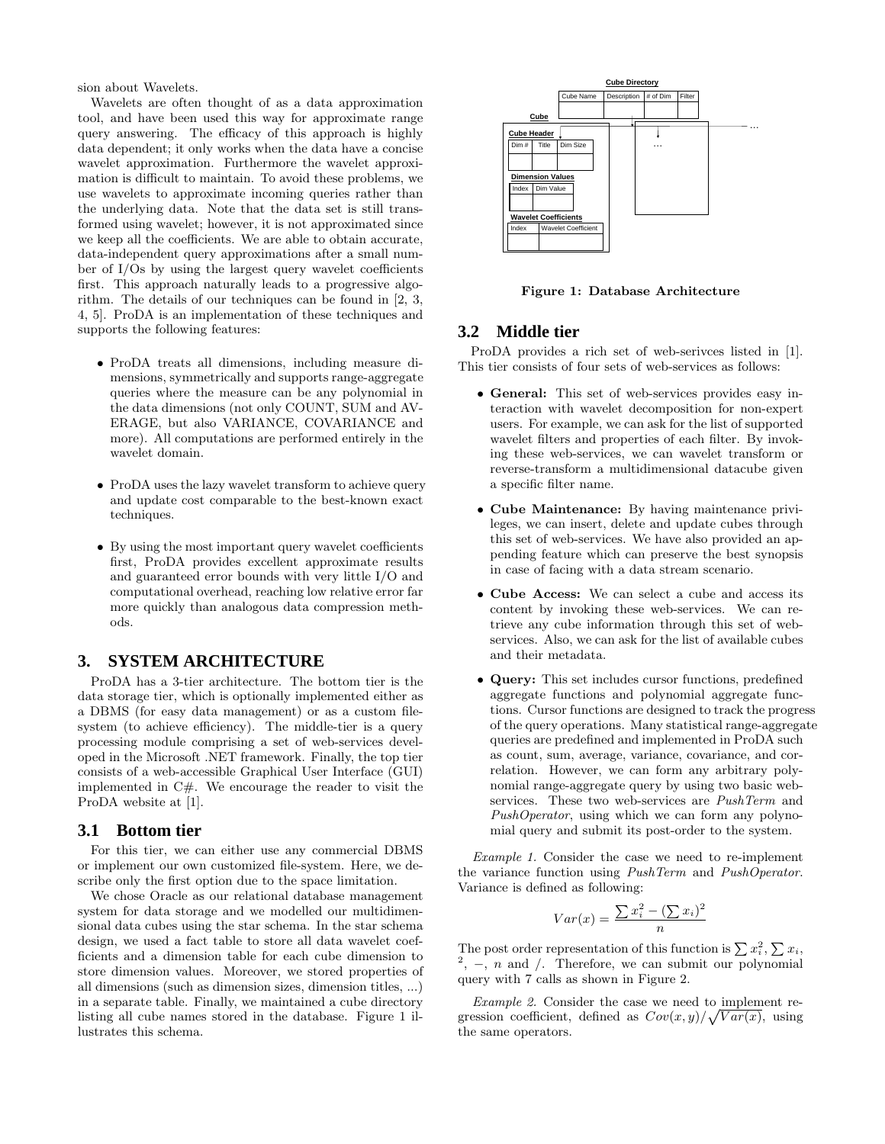sion about Wavelets.

Wavelets are often thought of as a data approximation tool, and have been used this way for approximate range query answering. The efficacy of this approach is highly data dependent; it only works when the data have a concise wavelet approximation. Furthermore the wavelet approximation is difficult to maintain. To avoid these problems, we use wavelets to approximate incoming queries rather than the underlying data. Note that the data set is still transformed using wavelet; however, it is not approximated since we keep all the coefficients. We are able to obtain accurate, data-independent query approximations after a small number of I/Os by using the largest query wavelet coefficients first. This approach naturally leads to a progressive algorithm. The details of our techniques can be found in [2, 3, 4, 5]. ProDA is an implementation of these techniques and supports the following features:

- ProDA treats all dimensions, including measure dimensions, symmetrically and supports range-aggregate queries where the measure can be any polynomial in the data dimensions (not only COUNT, SUM and AV-ERAGE, but also VARIANCE, COVARIANCE and more). All computations are performed entirely in the wavelet domain.
- ProDA uses the lazy wavelet transform to achieve query and update cost comparable to the best-known exact techniques.
- By using the most important query wavelet coefficients first, ProDA provides excellent approximate results and guaranteed error bounds with very little I/O and computational overhead, reaching low relative error far more quickly than analogous data compression methods.

## **3. SYSTEM ARCHITECTURE**

ProDA has a 3-tier architecture. The bottom tier is the data storage tier, which is optionally implemented either as a DBMS (for easy data management) or as a custom filesystem (to achieve efficiency). The middle-tier is a query processing module comprising a set of web-services developed in the Microsoft .NET framework. Finally, the top tier consists of a web-accessible Graphical User Interface (GUI) implemented in C#. We encourage the reader to visit the ProDA website at [1].

#### **3.1 Bottom tier**

For this tier, we can either use any commercial DBMS or implement our own customized file-system. Here, we describe only the first option due to the space limitation.

We chose Oracle as our relational database management system for data storage and we modelled our multidimensional data cubes using the star schema. In the star schema design, we used a fact table to store all data wavelet coefficients and a dimension table for each cube dimension to store dimension values. Moreover, we stored properties of all dimensions (such as dimension sizes, dimension titles, ...) in a separate table. Finally, we maintained a cube directory listing all cube names stored in the database. Figure 1 illustrates this schema.



**Figure 1: Database Architecture**

#### **3.2 Middle tier**

ProDA provides a rich set of web-serivces listed in [1]. This tier consists of four sets of web-services as follows:

- **General:** This set of web-services provides easy interaction with wavelet decomposition for non-expert users. For example, we can ask for the list of supported wavelet filters and properties of each filter. By invoking these web-services, we can wavelet transform or reverse-transform a multidimensional datacube given a specific filter name.
- **Cube Maintenance:** By having maintenance privileges, we can insert, delete and update cubes through this set of web-services. We have also provided an appending feature which can preserve the best synopsis in case of facing with a data stream scenario.
- **Cube Access:** We can select a cube and access its content by invoking these web-services. We can retrieve any cube information through this set of webservices. Also, we can ask for the list of available cubes and their metadata.
- **Query:** This set includes cursor functions, predefined aggregate functions and polynomial aggregate functions. Cursor functions are designed to track the progress of the query operations. Many statistical range-aggregate queries are predefined and implemented in ProDA such as count, sum, average, variance, covariance, and correlation. However, we can form any arbitrary polynomial range-aggregate query by using two basic webservices. These two web-services are *PushTerm* and *PushOperator*, using which we can form any polynomial query and submit its post-order to the system.

*Example 1.* Consider the case we need to re-implement the variance function using *PushTerm* and *PushOperator*. Variance is defined as following:

$$
Var(x) = \frac{\sum x_i^2 - (\sum x_i)^2}{n}
$$

The post order representation of this function is  $\sum x_i^2$ ,  $\sum x_i$ ,  $\sum_i^2 \sum_i x_i$ <sup>2</sup>, −, *n* and */*. Therefore, we can submit our polynomial query with 7 calls as shown in Figure 2.

*Example 2.* Consider the case we need to implement regression coefficient, defined as  $Cov(x, y) / \sqrt{Var(x)}$ , using the same operators.